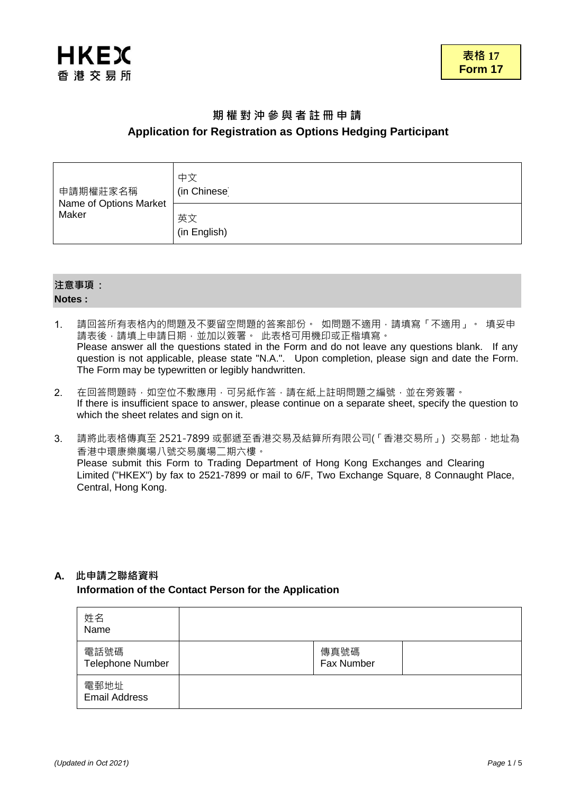

# **期 權 對 沖 參 與 者 註 冊 申 請 Application for Registration as Options Hedging Participant**

| 申請期權莊家名稱<br>Name of Options Market<br>Maker | 中文<br>(in Chinese) |
|---------------------------------------------|--------------------|
|                                             | 英文<br>(in English) |

## **注意事項 : Notes :**

- 1. 請回答所有表格內的問題及不要留空問題的答案部份。如問題不適用,請填寫「不適用」。 填妥申 請表後,請填上申請日期,並加以簽署。 此表格可用機印或正楷填寫。 Please answer all the questions stated in the Form and do not leave any questions blank. If any question is not applicable, please state "N.A.". Upon completion, please sign and date the Form. The Form may be typewritten or legibly handwritten.
- 2. 在回答問題時,如空位不敷應用,可另紙作答,請在紙上註明問題之編號,並在旁簽署。 If there is insufficient space to answer, please continue on a separate sheet, specify the question to which the sheet relates and sign on it.
- 3. 請將此表格傳真至 2521-7899 或郵遞至香港交易及結算所有限公司(「香港交易所」) 交易部,地址為 香港中環康樂廣場八號交易廣場二期六樓。 Please submit this Form to Trading Department of Hong Kong Exchanges and Clearing Limited ("HKEX") by fax to 2521-7899 or mail to 6/F, Two Exchange Square, 8 Connaught Place, Central, Hong Kong.

## **A. 此申請之聯絡資料**

## **Information of the Contact Person for the Application**

| 姓名<br>Name                   |                    |  |
|------------------------------|--------------------|--|
| 電話號碼<br>Telephone Number     | 傳真號碼<br>Fax Number |  |
| 電郵地址<br><b>Email Address</b> |                    |  |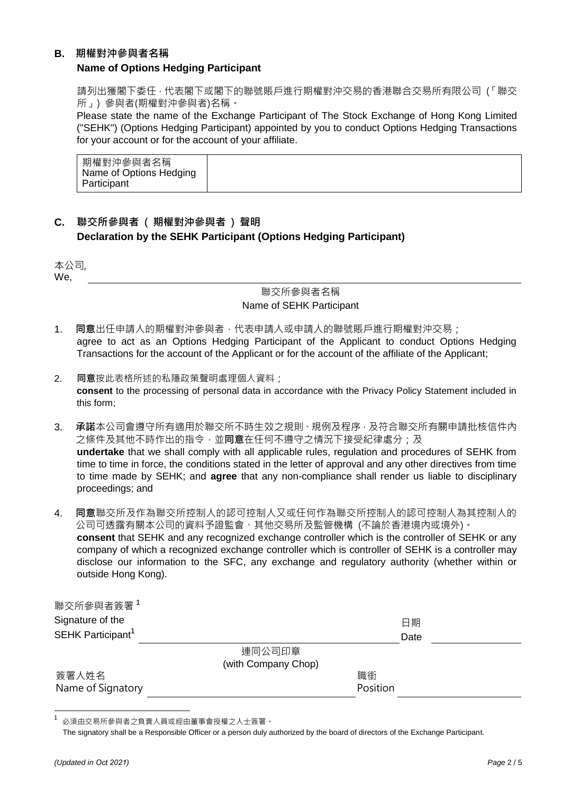## **B.** 期權對沖參與者名稱

## **Name of Options Hedging Participant**

請列出獲閣下委任,代表閣下或閣下的聯號賬戶進行期權對沖交易的香港聯合交易所有限公司 (「聯交 所」) 參與者(期權對沖參與者)名稱。

Please state the name of the Exchange Participant of The Stock Exchange of Hong Kong Limited ("SEHK") (Options Hedging Participant) appointed by you to conduct Options Hedging Transactions for your account or for the account of your affiliate.

| 期權對沖參與者名稱<br>Name of Options Hedging<br>Participant |
|-----------------------------------------------------|
|-----------------------------------------------------|

## **C.** 聯交所參與者 ( 期權對沖參與者 ) 聲明 **Declaration by the SEHK Participant (Options Hedging Participant)**

本公司, We,

## 聯交所參與者名稱 Name of SEHK Participant

- 1. 同意出任申請人的期權對沖參與者,代表申請人或申請人的聯號賬戶進行期權對沖交易; agree to act as an Options Hedging Participant of the Applicant to conduct Options Hedging Transactions for the account of the Applicant or for the account of the affiliate of the Applicant;
- 2. 同意按此表格所述的私隱政策聲明處理個人資料; **consent** to the processing of personal data in accordance with the Privacy Policy Statement included in this form;
- 3. 承諾本公司會遵守所有適用於聯交所不時生效之規則、規例及程序,及符合聯交所有關申請批核信件內 之條件及其他不時作出的指令,並**同意**在任何不遵守之情況下接受紀律處分;及 **undertake** that we shall comply with all applicable rules, regulation and procedures of SEHK from time to time in force, the conditions stated in the letter of approval and any other directives from time to time made by SEHK; and **agree** that any non-compliance shall render us liable to disciplinary proceedings; and
- 4. 同意聯交所及作為聯交所控制人的認可控制人又或任何作為聯交所控制人的認可控制人為其控制人的 公司可透露有關本公司的資料予證監會、其他交易所及監管機構 (不論於香港境內或境外)。 **consent** that SEHK and any recognized exchange controller which is the controller of SEHK or any company of which a recognized exchange controller which is controller of SEHK is a controller may disclose our information to the SFC, any exchange and regulatory authority (whether within or outside Hong Kong).

| 聯交所參與者簽署1<br>Signature of the<br>SEHK Participant <sup>1</sup> |                     | 日期<br>Date |
|----------------------------------------------------------------|---------------------|------------|
|                                                                | 連同公司印章              |            |
|                                                                | (with Company Chop) |            |
| 簽署人姓名                                                          | 職銜                  |            |
| Name of Signatory                                              | Position            |            |

必須由交易所參與者之負責人員或經由董事會授權之人士簽署。

The signatory shall be a Responsible Officer or a person duly authorized by the board of directors of the Exchange Participant.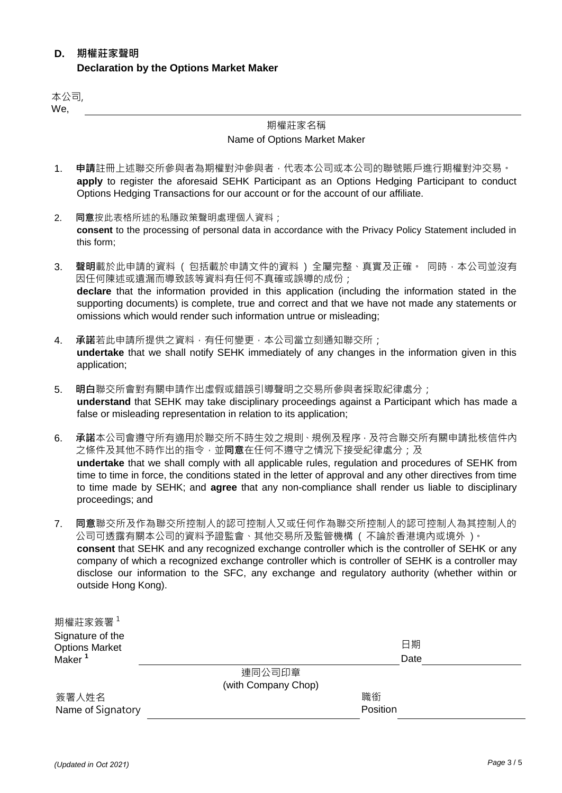## **D.** 期權莊家聲明 **Declaration by the Options Market Maker**

本公司, We,

# 期權莊家名稱

## Name of Options Market Maker

- 1. 申請註冊上述聯交所參與者為期權對沖參與者,代表本公司或本公司的聯號賬戶進行期權對沖交易。 **apply** to register the aforesaid SEHK Participant as an Options Hedging Participant to conduct Options Hedging Transactions for our account or for the account of our affiliate.
- 2. 同意按此表格所述的私隱政策聲明處理個人資料; **consent** to the processing of personal data in accordance with the Privacy Policy Statement included in this form;
- 3. 聲明載於此申請的資料 ( 包括載於申請文件的資料 ) 全屬完整、真實及正確。 同時,本公司並沒有 因任何陳述或遺漏而導致該等資料有任何不真確或誤導的成份; **declare** that the information provided in this application (including the information stated in the supporting documents) is complete, true and correct and that we have not made any statements or omissions which would render such information untrue or misleading;
- 4. 承諾若此申請所提供之資料,有任何變更,本公司當立刻通知聯交所; **undertake** that we shall notify SEHK immediately of any changes in the information given in this application;
- 5. 明白聯交所會對有關申請作出虛假或錯誤引導聲明之交易所參與者採取紀律處分; **understand** that SEHK may take disciplinary proceedings against a Participant which has made a false or misleading representation in relation to its application;
- 6. 承諾本公司會遵守所有適用於聯交所不時生效之規則、規例及程序,及符合聯交所有關申請批核信件內 之條件及其他不時作出的指令,並**同意**在任何不遵守之情況下接受紀律處分;及 **undertake** that we shall comply with all applicable rules, regulation and procedures of SEHK from time to time in force, the conditions stated in the letter of approval and any other directives from time to time made by SEHK; and **agree** that any non-compliance shall render us liable to disciplinary proceedings; and
- 7. 同意聯交所及作為聯交所控制人的認可控制人又或任何作為聯交所控制人的認可控制人為其控制人的 公司可透露有關本公司的資料予證監會、其他交易所及監管機構 ( 不論於香港境內或境外 )。 **consent** that SEHK and any recognized exchange controller which is the controller of SEHK or any company of which a recognized exchange controller which is controller of SEHK is a controller may disclose our information to the SFC, any exchange and regulatory authority (whether within or outside Hong Kong).

| 期權莊家簽署 $^1$           |                     |          |      |
|-----------------------|---------------------|----------|------|
| Signature of the      |                     |          |      |
| <b>Options Market</b> |                     |          | 日期   |
| Maker <sup>1</sup>    |                     |          | Date |
|                       | 連同公司印章              |          |      |
|                       | (with Company Chop) |          |      |
| 簽署人姓名                 |                     | 職銜       |      |
| Name of Signatory     |                     | Position |      |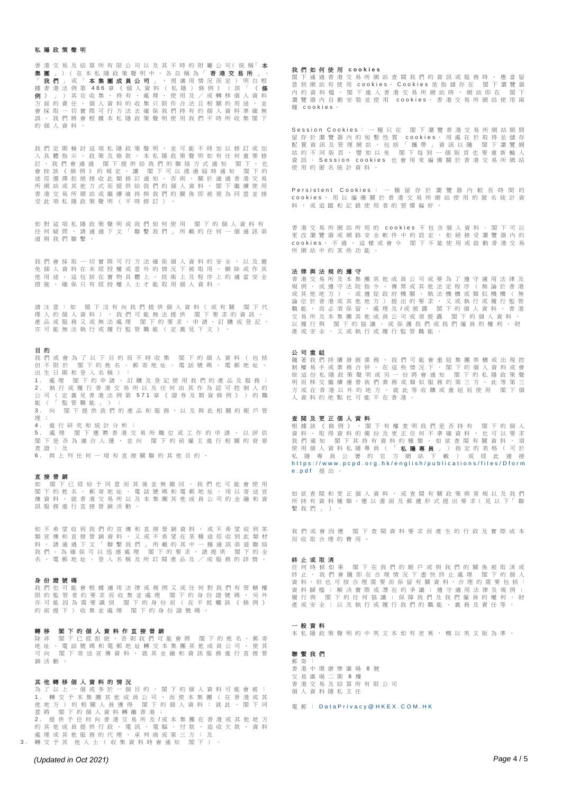## 私隱政策聲明

香 港 交 易 及 結 算 所 有 限 公 司 以 及 其 不 時 的 附 屬 公 司( 統 稱「 本 集 團 」)( 在 本 私 隱 政 策 聲 明 中 , 各 自 稱 為 「 **香 港 交 易 所** 」、 「 **我 們** 」 或 「 **本 集 團 成 員 公 司** 」 , 視 適 用 情 況 而 定 ) 明 白 根<br>據 香 港 法 例 第 486 章 《 個 人 資 料 ( 私 隱 ) 條 例 》 ( 該 「 **《 條** 例 》」)其在收集、持有、處理、使用及/或轉移個人資料 \*方面的責任。個人資料的收集只限作合法且相關的用途,並<br>方面的責任。個人資料的收集只限作合法且相關的用途,並 會採取一切實際可行方法去確保我們持有的個人資料準確無 誤 。 我 們 將 會 根 據 本 私 隱 政 策 聲 明 使 用 我 們 不 時 所 收 集 閣 下 的個人資料。

我們定期檢討這項私隱政策聲明,並可能不時加以修訂或加 入具體指示、政策及條款。本私隱政策聲明如有任何重要修<br>訂,我們會通過 閣下提供給我們的聯絡方式通知 閣下,也 閣下提供給我們的聯絡方式通知 閣下,也 會 按 該 《 條 例 》 的 規 定 , 讓 閣下可 以 透 過 屆 時 通 知 閣下的 途 徑 選 擇 拒 絕 接 收 此 類 修 訂 通 知 。 否 則 , 關 於 通 過 香 港 交 易 所 網 站 或 其 他 方 式 而 提 供 給 我 們 的 個 人 資 料 , 閣 下 繼 鑟 使 用 香港交易所網站或繼續維持與我們的關係即被視為同意並接 受此項私隱政策聲明(不時修訂)

如對這項私隱政策聲明或我們如何使用 閣下的個人資料有 任 何 疑 問 , 請 通 過 下 文 「 聯 繫 我 們 」 所 載 的 任 何 一 個 通 訊 渠 道與我們聯繫。

我們會採取一切實際可行方法確保個人資料的安全,以及避 免個人資料在未經授權或意外的情況下被取用、刪除或作其 他用途。這包括在實物具體上、技術上及程序上的適當安全 措 施 , 確 保 只 有 經 授 權 人 士 才 能 取 用 個 人 資 料 。

請 注 意 : 如 閣 下 沒 有 向 我 們 提 供 個 人 資 料 ( 或 有 關 閣下代 理 人 的 個 人 資 料 ) , 我 們 可 能 無 法 提 供 閣 下 要 求 的 資 訊 、 產 品 或 服 務 又 或 無 法 處 理 閣 下 的 要 求 、 申 請 、 訂 購 或 登 記 , 亦可能無法執行或履行監管職能(定義見下文)。

## 目 的

我 們 或 會 為 了 以 下 目 的 而 不 時 收 集 閣 下 的 個 人 資 料 ( 包 括<br>但 不 限 於 閣 下 的 姓 名 、 郵 寄 地 址 、 電 話 號 碼 、 電 郵 地 址 、 出生日期和登入名稱):

1. 處理 閣下的申請、訂購及登記使用我們的產品及服務;<br>2. 執行或履行委選交易所以及任何中其作為認可控制人的 執 行 或 履 行 香 港 交 易 所 以 及 任 何 由 其 作 為 認 可 控 制 人 的 公司 ( 定 義 見 香 港 法 例 第 571 章 《 證 券 及 期 貨 條 例 》 ) 的 職 能(「監管職能」); 3 . 向 閣下提供我們的產品和服務,以及 與 此 相 關 的 賬 戶 管 理 ;

4 . 進行研究和統計分析; 5. 處 理 閣 下 應 聘 香 港 交 易 所 職 位 或 工 作 的 申 請 , 以 評 估 閣 下 是 否 為 適 合 人 選 , 並 向 閣 下 的 前 僱 主 進 行 相 關 的 背 景 查證;及 6 . 與上列任何一項有直接關聯的其他目的。

#### 直接營銷

如 閣 下 已 經 給 予 同 意 而 其 後 並 無 撤 回 , 我 們 也 可 能 會 使 用 □ 下 的 姓 名 、 郵 寄 地 址 、 電 話 號 碼 和 電 郵 地 址 , 用 以 寄 送 宣 傳 資 料 , 就 香 港 交 易 所 以 及 本 集 團 其 他 成 員 公 司 的 金 融 和 資 訊服務維行直接營銷活動

如 不 希 望 收 到 我 們 的 宣 傳 和 直 接 營 銷 資 料 , 或 不 希 望 收 到 某 類 宣 傳 和 直 接 營 銷 資 料 , 又 或 不 希 望 在 某 種 途 徑 收 到 此 類 材 料 , 請 通 過 下 文 「 聯 繫 我 們 」 所 載 的 其 中 一 種 通 訊 渠 道 聯 絡<br>我 們 。 為 確 保 可 以 迅 速 處 理 閣 下 的 要 求 , 請 提 供 閣 下 的 全 名、電郵地址、登入名稱及所訂閱產品及/或服務的詳情。

#### 身份證號碼

我 們 也 可 能 會 根 據 適 用 法 律 或 規 例 又 或 任 何 對 我 們 有 管 轄 權 限 的 監 管 者 的 要 求 而 收 集 並 處 理 閣 下 的 身 份 證 號 碼 , 另 外<br>亦 可 能 因 為 需 要 識 別 閣 下 的 身 份 而 ( 在 不 抵 觸 該 《 條 例 》 的前提下)收集並處理 閣下的身份證號碼

### 轉移 閣下的個人資料作直接營銷

除 非 閣 下 已 經 拒 絕 , 否 則 我 們 可 能 會 將 閣 下 的 姓 名 、 郵 寄 地 址 、 電 話 號 碼 和 電 郵 地 址 轉 交 本 集 團 其 他 成 員 公 司 , 使 其<br>可 向 閣 下 寄 送 宣 傳 資 料 , 就 其 金 融 和 資 訊 服 務 進 行 直 接 營 銷活動。

### 其他轉移個人資料的情況

為了以上一個或多於一個目的,閣下的個人資料可能會被: 1 . 轉 交 予 本 集 團 其 他 成 員 公 司 , 而 使 本 集 團 ( 在 香 港 或 其 他 地 方 ) 的 相 關 人 員 獲 得 閣 下 的 個 人 資 料 ; 就 此 , 閣 下 同 意 將 閣下的個人資料轉離香港; 提 供 予 任 何 向 香 港 交 易 所 及 /或 本 集 團 在 香 港 或 其 他 地 方 的 其 他 成 員 提 供 行 政 、 電 訊 、 電 腦 、 付 款 、 追 收 欠 款 、 資 料 處 理 或 其 他 服 務 的 代 理 、 承 判 商 或 第 三 方 ; 及 3. 轉交予其 他人士(收集資料時會通知 閣下)

## 我們如何使用 **c o o k i e s**

閣 下 通 過 香 港 交 易 所 網 站 查 閱 我 們 的 資 訊 或 服 務 時 , 應 當 留 意 到 網 站 有 使 用 cookies 。 Cookies 是 指 儲 存 在 閣 下 瀏 覽 器 內 的 資 料 檔 。 閣 下 進 入 香 港 交 易 所 網 站 時 , 網 站 即 在 閣 下 瀏 覽 器 內 自 動 安 裝 並 使 用 c o o k i e s 。 香 港 交 易 所 網 站 使 用 兩 種 c o o k i e s 。

Session Cookies: 一種只在 閣下瀏覽香港交易所網站期間 留 存 於 瀏 覽 器 内 的 短 暫 性 質 cookies, 用 處 在 於 取 得 並 儲 存<br>配 置 資 訊 及 管 理 網 站 , 包 括 「 攜 帶 」 資 訊 以 隨 閣 下 瀏 覽 網 站 的 不 同 版 頁 , 譬 如 以 免 閣 下 每 到 一 個 版 頁 也 要 重 新 輸 入<br>資 訊 。 Session cookies 也 會 用 來 編 備 關 於 香 港 交 易 所 網 站 使用的匿名統計資料。

Persistent Cookies : 一種留存於瀏覽器內較長時間的 cookies, 用以編備關於香港交易所網站使用的匿名統計資 料,或追蹤和記錄使用者的習慣偏好。

香 港 交 易 所 網 站 所 用 的 c o o k i e s 不 包 含 個 人 資 料 。 閣 下 可 以<br>更 改 瀏 覽 器 或 網 路 安 全 軟 件 中 的 設 定 , 拒 絕 接 受 瀏 覽 器 内 的 cookies。不過,這樣或會令 閣下不能使用或啟動香港交易 所網站中的某些功能。

### 法律與法規的遵守

香 港交易所及本集團其他成員公司或要為了遵守適用法律及 規例,或遵守法院指令、傳票或其他法定程序(無論於香港 或其他地方),或遵從政府機關、執法機構或類似機構(無<br>論位於香港或其他地方)提出的要求,又或執行或履行監管 論位於香港或其他地方)提出的要求,又或執行或履行監管<br>職能,而必須保留、處理及/或披露 閣下的個人資料。香港 處理及/或披露 閣下的個人資料 交易所及本集團其他成員公司或須披露 閣下的個人資料, 以 履 行 與 閣 下 的 協 議 , 或 保 護 我 們 或 我 們 僱 員 的 權 利 、 財<br>產 或 安 全 , 又 或 執 行 或 履 行 監 管 職 能 。

# 公司重組

一<br>我 們 持 續 發 展 業 務 , 我 們 可 能 會 重 組 集 團 架 構 或 出 現 控 制 權 易 手 或 業 務 合 併 。 在 這 些 情 況 下 , 閣 下 的 個 人 資 料 或 會 按 這 份 私 隱 政 策 聲 明 或 另 一 份 將 會 通 知 閣 下 的 私 隱 政 策 聲 明 而 移 交 繼 續 運 營 我 們 業 務 或 類 似 服 務 的 第 三 方 。 此 等 第 三 方 或 在 香 港 以 外 的 地 方 , 就 此 等 收 購 或 重 組 而 使 用 閣 下 個 人資料的地點也可能不在香港。

## 查閱及更正個人資料

根 據 該 《 條 例 》 , 閣 下 有 權 查 明 我 們 是 否 持 有 閣 下 的 個 人<br>資 料 、 取 得 資 料 的 備 份 及 更 正 任 何 不 準 確 資 料 , 也 可 以 要 求 我 們 通 知 閣 下 其 持 有 資 料 的 種 類 。 如 欲 查 閲 有 關 資 料 , 須 使 用 個 人 資 料 私 隠 專 員 ( 「 **私 隱 專 員** 」 ) 指 定 的 表 格 ( 可 於<br>私 隠 專 員 公 署 的 官 方 網 站 下 載 ) 或 經 此 連 接 https://www.pcpd.org.hk/english/publications/files/Dform e.pdf 提出。

如 欲 查 閱 和 更 正 個 人 資 料 , 或 查 閱 有 關 政 策 與 常 規 以 及 我 們 所 持 有 資 料 種 類,應 以 書 面 及 郵 遞 形 式 提 出 要 求 ( 見 以 下 繫我們」)。

我 們 或 會 因 應 閣 下 查 閱 資 料 要 求 而 產 生 的 行 政 及 實 際 成 本 而收取合理的費用。

### 終止或取消

任 何 時 候 如 果 閣 下 在 我 們 的 賬 戶 或 與 我 們 的 關 係 被 取 消 或<br>終 止 , 我 們 會 隨 即 在 合 理 情 況 下 盡 快 終 止 處 理 閣 下 的 個 人 、一一一八十,日 应 4 上 日 王 局 元 十 正 八 、 王 庭 王 一 出 十 , 日 八<br>資 料 , 但 也 可 按 合 理 需 要 而 保 留 有 關 資 料 , 合 理 的 需 要 包 括: 資 料 歸 檔 ; 解 決 實 際 或 潛 在 的 爭 議 ; 遵 守 適 用 法 律 及 規 例 ; 履 行 與 閣 下 的 任 何 協 議 ; 保 障 我 們 及 我 們 僱 員 的 權 利 、 財<br>產 或 安 全 ; 以 及 執 行 或 履 行 我 們 的 職 能 、 義 務 及 青 任 等 。 產或安全;以及執行或履行我們的職能

### 一般資料

本私隱政策聲明的中英文本如有差異,概以英文版為準。

#### 聯繫我們 郵寄:

香港中環康樂廣場 8 號 交易廣場二期 8 樓 香港交 易及結算所有限公司 個人資料隱私主任

雷 郵: Data Privacy@HKEX.COM.HK